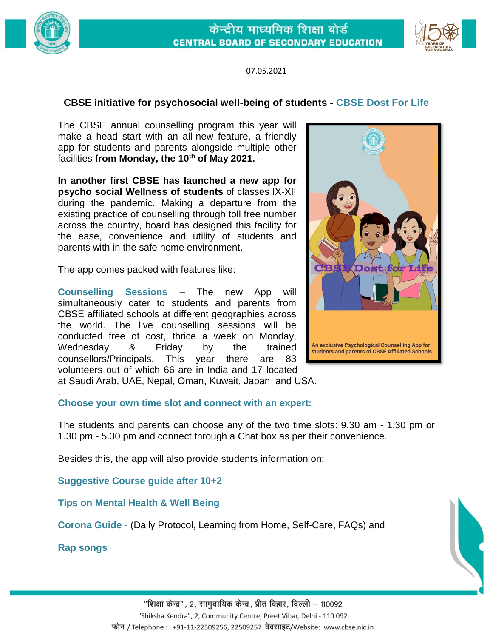



07.05.2021

# **CBSE initiative for psychosocial well-being of students - CBSE Dost For Life**

The CBSE annual counselling program this year will make a head start with an all-new feature, a friendly app for students and parents alongside multiple other facilities **from Monday, the 10th of May 2021.** 

**In another first CBSE has launched a new app for psycho social Wellness of students** of classes IX-XII during the pandemic. Making a departure from the existing practice of counselling through toll free number across the country, board has designed this facility for the ease, convenience and utility of students and parents with in the safe home environment.

The app comes packed with features like:

**Counselling Sessions** – The new App will simultaneously cater to students and parents from CBSE affiliated schools at different geographies across the world. The live counselling sessions will be conducted free of cost, thrice a week on Monday, Wednesday & Friday by the trained counsellors/Principals. This year there are 83 volunteers out of which 66 are in India and 17 located



at Saudi Arab, UAE, Nepal, Oman, Kuwait, Japan and USA. .

## **Choose your own time slot and connect with an expert:**

The students and parents can choose any of the two time slots: 9.30 am - 1.30 pm or 1.30 pm - 5.30 pm and connect through a Chat box as per their convenience.

Besides this, the app will also provide students information on:

**Suggestive Course guide after 10+2** 

**Tips on Mental Health & Well Being** 

**Corona Guide** - (Daily Protocol, Learning from Home, Self-Care, FAQs) and

**Rap songs**

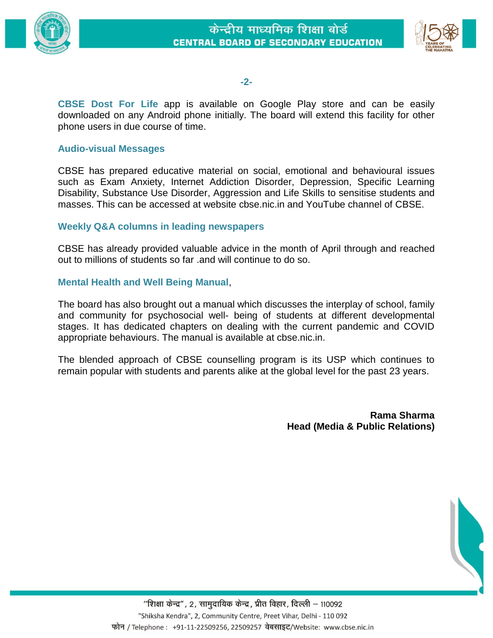

### **-2-**

**CBSE Dost For Life** app is available on Google Play store and can be easily downloaded on any Android phone initially. The board will extend this facility for other phone users in due course of time.

#### **Audio-visual Messages**

CBSE has prepared educative material on social, emotional and behavioural issues such as Exam Anxiety, Internet Addiction Disorder, Depression, Specific Learning Disability, Substance Use Disorder, Aggression and Life Skills to sensitise students and masses. This can be accessed at website cbse.nic.in and YouTube channel of CBSE.

### **Weekly Q&A columns in leading newspapers**

CBSE has already provided valuable advice in the month of April through and reached out to millions of students so far .and will continue to do so.

#### **Mental Health and Well Being Manual**,

The board has also brought out a manual which discusses the interplay of school, family and community for psychosocial well- being of students at different developmental stages. It has dedicated chapters on dealing with the current pandemic and COVID appropriate behaviours. The manual is available at cbse.nic.in.

The blended approach of CBSE counselling program is its USP which continues to remain popular with students and parents alike at the global level for the past 23 years.

> **Rama Sharma Head (Media & Public Relations)**